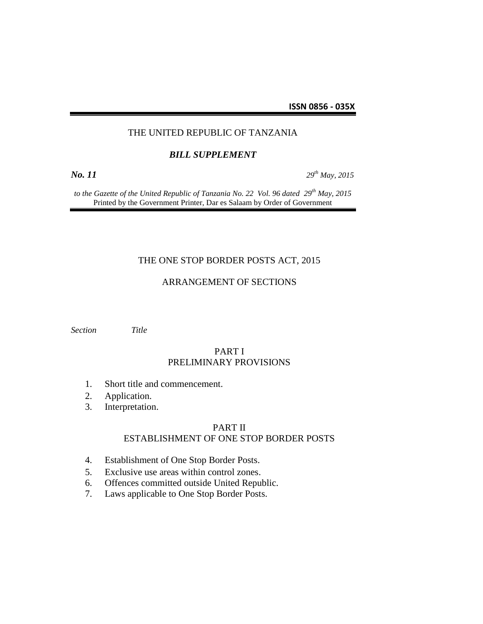## THE UNITED REPUBLIC OF TANZANIA

#### *BILL SUPPLEMENT*

*No. 11 29th May, 2015*

*to the Gazette of the United Republic of Tanzania No. 22 Vol. 96 dated 29th May, 2015* Printed by the Government Printer, Dar es Salaam by Order of Government

### THE ONE STOP BORDER POSTS ACT, 2015

## ARRANGEMENT OF SECTIONS

*Section Title*

### PART I PRELIMINARY PROVISIONS

- 1. Short title and commencement.
- 2. Application.
- 3. Interpretation.

### PART II ESTABLISHMENT OF ONE STOP BORDER POSTS

- 4. Establishment of One Stop Border Posts.
- 5. Exclusive use areas within control zones.
- 6. Offences committed outside United Republic.
- 7. Laws applicable to One Stop Border Posts.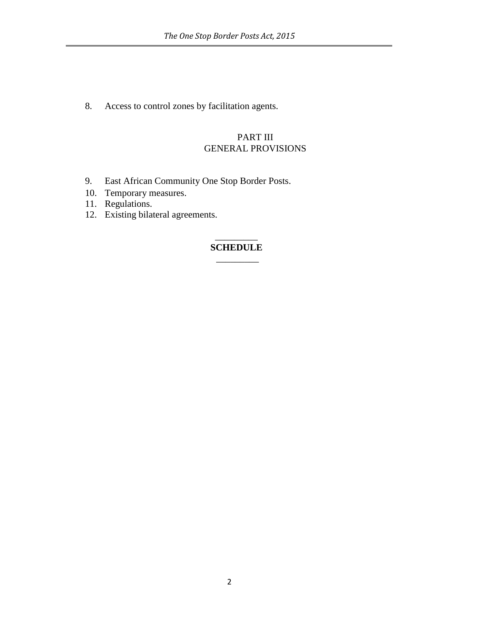8. Access to control zones by facilitation agents.

# PART III GENERAL PROVISIONS

- 9. East African Community One Stop Border Posts.
- 10. Temporary measures.
- 11. Regulations.
- 12. Existing bilateral agreements.

# $\overline{\phantom{a}}$ **SCHEDULE**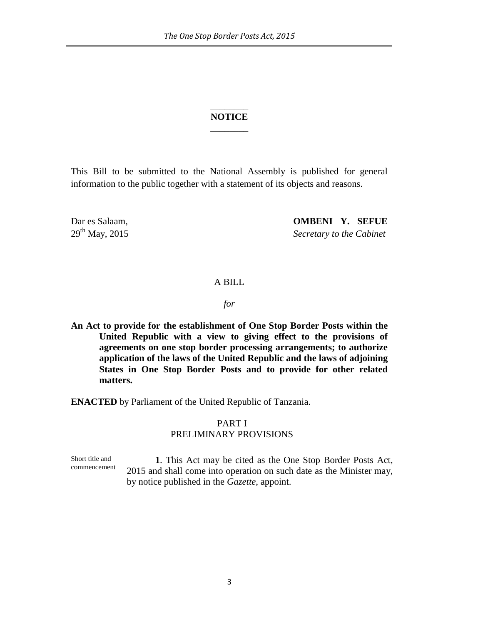# \_\_\_\_\_\_\_\_ **NOTICE** \_\_\_\_\_\_\_\_

This Bill to be submitted to the National Assembly is published for general information to the public together with a statement of its objects and reasons.

Dar es Salaam, **OMBENI Y. SEFUE** 29th May, 2015 *Secretary to the Cabinet*

### A BILL

*for*

**An Act to provide for the establishment of One Stop Border Posts within the United Republic with a view to giving effect to the provisions of agreements on one stop border processing arrangements; to authorize application of the laws of the United Republic and the laws of adjoining States in One Stop Border Posts and to provide for other related matters.**

**ENACTED** by Parliament of the United Republic of Tanzania.

# PART I PRELIMINARY PROVISIONS

Short title and commencement **1**. This Act may be cited as the One Stop Border Posts Act, 2015 and shall come into operation on such date as the Minister may, by notice published in the *Gazette*, appoint.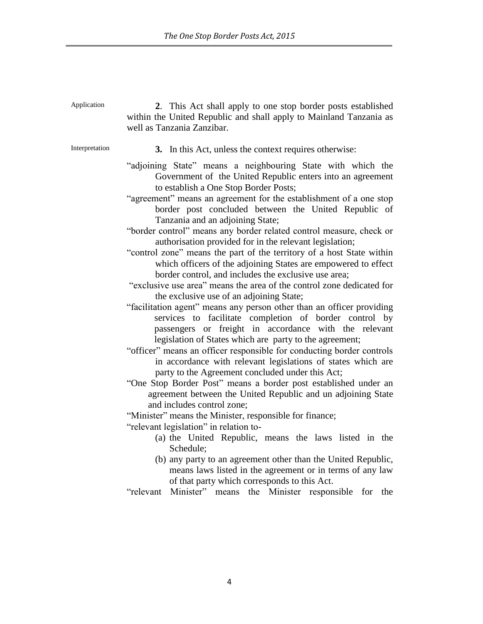| Application    | 2. This Act shall apply to one stop border posts established<br>within the United Republic and shall apply to Mainland Tanzania as<br>well as Tanzania Zanzibar.                                                                                                                                                                                                                                                                                                                                                                                                                                                                                                                                                                                                                                                                                                                                                                                                                                                                                                                                                                                                                                                                                                                                                                                                                                                                                                                                                                                                                                                                                                                                                                                                                                                                           |
|----------------|--------------------------------------------------------------------------------------------------------------------------------------------------------------------------------------------------------------------------------------------------------------------------------------------------------------------------------------------------------------------------------------------------------------------------------------------------------------------------------------------------------------------------------------------------------------------------------------------------------------------------------------------------------------------------------------------------------------------------------------------------------------------------------------------------------------------------------------------------------------------------------------------------------------------------------------------------------------------------------------------------------------------------------------------------------------------------------------------------------------------------------------------------------------------------------------------------------------------------------------------------------------------------------------------------------------------------------------------------------------------------------------------------------------------------------------------------------------------------------------------------------------------------------------------------------------------------------------------------------------------------------------------------------------------------------------------------------------------------------------------------------------------------------------------------------------------------------------------|
| Interpretation | 3. In this Act, unless the context requires otherwise:                                                                                                                                                                                                                                                                                                                                                                                                                                                                                                                                                                                                                                                                                                                                                                                                                                                                                                                                                                                                                                                                                                                                                                                                                                                                                                                                                                                                                                                                                                                                                                                                                                                                                                                                                                                     |
|                | "adjoining State" means a neighbouring State with which the<br>Government of the United Republic enters into an agreement<br>to establish a One Stop Border Posts;<br>"agreement" means an agreement for the establishment of a one stop<br>border post concluded between the United Republic of<br>Tanzania and an adjoining State;<br>"border control" means any border related control measure, check or<br>authorisation provided for in the relevant legislation;<br>"control zone" means the part of the territory of a host State within<br>which officers of the adjoining States are empowered to effect<br>border control, and includes the exclusive use area;<br>"exclusive use area" means the area of the control zone dedicated for<br>the exclusive use of an adjoining State;<br>"facilitation agent" means any person other than an officer providing<br>services to facilitate completion of border control by<br>passengers or freight in accordance with the relevant<br>legislation of States which are party to the agreement;<br>"officer" means an officer responsible for conducting border controls<br>in accordance with relevant legislations of states which are<br>party to the Agreement concluded under this Act;<br>"One Stop Border Post" means a border post established under an<br>agreement between the United Republic and un adjoining State<br>and includes control zone;<br>"Minister" means the Minister, responsible for finance;<br>"relevant legislation" in relation to-<br>(a) the United Republic, means the laws listed in the<br>Schedule;<br>(b) any party to an agreement other than the United Republic,<br>means laws listed in the agreement or in terms of any law<br>of that party which corresponds to this Act.<br>"relevant Minister" means the Minister responsible for the |
|                |                                                                                                                                                                                                                                                                                                                                                                                                                                                                                                                                                                                                                                                                                                                                                                                                                                                                                                                                                                                                                                                                                                                                                                                                                                                                                                                                                                                                                                                                                                                                                                                                                                                                                                                                                                                                                                            |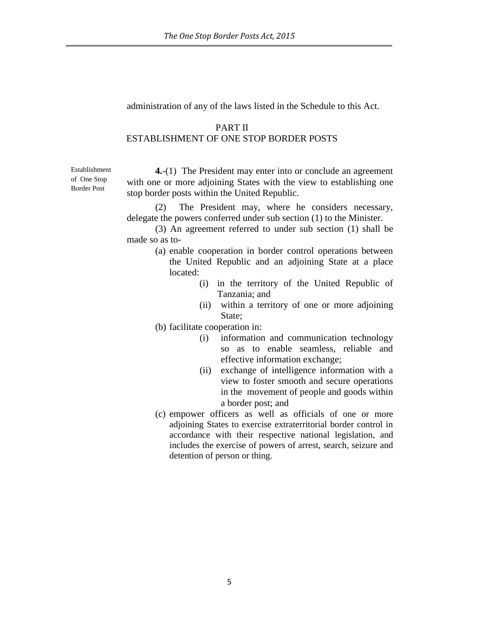administration of any of the laws listed in the Schedule to this Act.

### PART II

# ESTABLISHMENT OF ONE STOP BORDER POSTS

Establishment of One Stop Border Post

**4.**-(1) The President may enter into or conclude an agreement with one or more adjoining States with the view to establishing one stop border posts within the United Republic.

(2) The President may, where he considers necessary, delegate the powers conferred under sub section (1) to the Minister.

(3) An agreement referred to under sub section (1) shall be made so as to-

- (a) enable cooperation in border control operations between the United Republic and an adjoining State at a place located:
	- (i) in the territory of the United Republic of Tanzania; and
	- (ii) within a territory of one or more adjoining State:
- (b) facilitate cooperation in:
	- (i) information and communication technology so as to enable seamless, reliable and effective information exchange;
	- (ii) exchange of intelligence information with a view to foster smooth and secure operations in the movement of people and goods within a border post; and
- (c) empower officers as well as officials of one or more adjoining States to exercise extraterritorial border control in accordance with their respective national legislation, and includes the exercise of powers of arrest, search, seizure and detention of person or thing.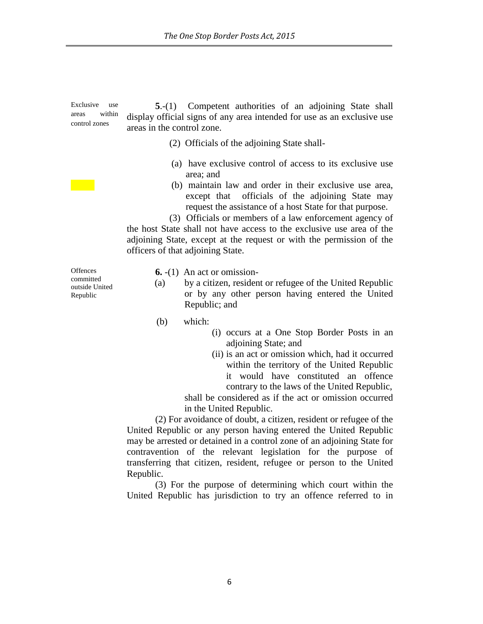Exclusive use areas within control zones

**5**.-(1) Competent authorities of an adjoining State shall display official signs of any area intended for use as an exclusive use areas in the control zone.

- (2) Officials of the adjoining State shall-
- (a) have exclusive control of access to its exclusive use area; and
- (b) maintain law and order in their exclusive use area, except that officials of the adjoining State may request the assistance of a host State for that purpose.

 (3) Officials or members of a law enforcement agency of the host State shall not have access to the exclusive use area of the adjoining State, except at the request or with the permission of the officers of that adjoining State.

**Offences** committed outside United Republic

**6.** -(1) An act or omission-

- (a) by a citizen, resident or refugee of the United Republic or by any other person having entered the United Republic; and
- (b) which:
	- (i) occurs at a One Stop Border Posts in an adjoining State; and
	- (ii) is an act or omission which, had it occurred within the territory of the United Republic it would have constituted an offence contrary to the laws of the United Republic,

shall be considered as if the act or omission occurred in the United Republic.

(2) For avoidance of doubt, a citizen, resident or refugee of the United Republic or any person having entered the United Republic may be arrested or detained in a control zone of an adjoining State for contravention of the relevant legislation for the purpose of transferring that citizen, resident, refugee or person to the United Republic.

(3) For the purpose of determining which court within the United Republic has jurisdiction to try an offence referred to in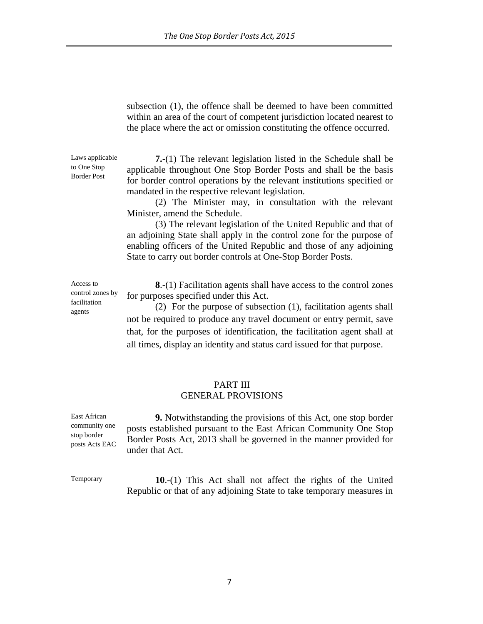subsection (1), the offence shall be deemed to have been committed within an area of the court of competent jurisdiction located nearest to the place where the act or omission constituting the offence occurred.

**7.**-(1) The relevant legislation listed in the Schedule shall be applicable throughout One Stop Border Posts and shall be the basis for border control operations by the relevant institutions specified or mandated in the respective relevant legislation.

(2) The Minister may, in consultation with the relevant Minister, amend the Schedule.

(3) The relevant legislation of the United Republic and that of an adjoining State shall apply in the control zone for the purpose of enabling officers of the United Republic and those of any adjoining State to carry out border controls at One-Stop Border Posts.

**8**.-(1) Facilitation agents shall have access to the control zones for purposes specified under this Act.

(2) For the purpose of subsection (1), facilitation agents shall not be required to produce any travel document or entry permit, save that, for the purposes of identification, the facilitation agent shall at all times, display an identity and status card issued for that purpose.

### PART III GENERAL PROVISIONS

**9.** Notwithstanding the provisions of this Act, one stop border posts established pursuant to the East African Community One Stop Border Posts Act, 2013 shall be governed in the manner provided for under that Act.

 **10**.-(1) This Act shall not affect the rights of the United Republic or that of any adjoining State to take temporary measures in

to One Stop Border Post

Laws applicable

Access to control zones by facilitation agents

East African community one stop border posts Acts EAC

Temporary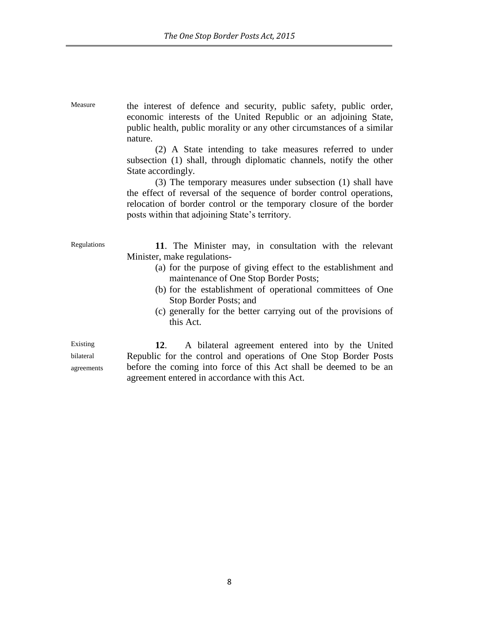Measure the interest of defence and security, public safety, public order, economic interests of the United Republic or an adjoining State, public health, public morality or any other circumstances of a similar nature.

> (2) A State intending to take measures referred to under subsection (1) shall, through diplomatic channels, notify the other State accordingly.

> (3) The temporary measures under subsection (1) shall have the effect of reversal of the sequence of border control operations, relocation of border control or the temporary closure of the border posts within that adjoining State's territory.

Regulations **11**. The Minister may, in consultation with the relevant Minister, make regulations-

- (a) for the purpose of giving effect to the establishment and maintenance of One Stop Border Posts;
- (b) for the establishment of operational committees of One Stop Border Posts; and
- (c) generally for the better carrying out of the provisions of this Act.

Existing bilateral agreements

**12**. A bilateral agreement entered into by the United Republic for the control and operations of One Stop Border Posts before the coming into force of this Act shall be deemed to be an agreement entered in accordance with this Act.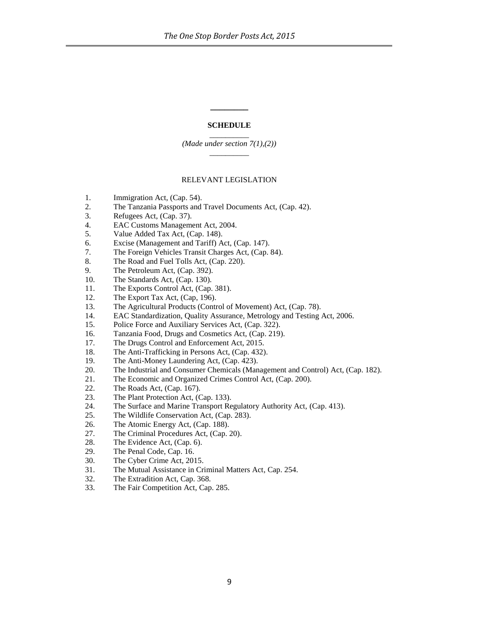#### **SCHEDULE**

**\_\_\_\_\_\_\_\_**

 $\overline{\phantom{a}}$ *(Made under section 7(1),(2)) \_\_\_\_\_\_\_\_\_\_*

#### RELEVANT LEGISLATION

- 1. Immigration Act, (Cap. 54).
- 2. The Tanzania Passports and Travel Documents Act, (Cap. 42).
- 3. Refugees Act, (Cap. 37).
- 4. EAC Customs Management Act, 2004.
- 5. Value Added Tax Act, (Cap. 148).
- 6. Excise (Management and Tariff) Act, (Cap. 147).
- 7. The Foreign Vehicles Transit Charges Act, (Cap. 84).
- 8. The Road and Fuel Tolls Act, (Cap. 220).
- 9. The Petroleum Act, (Cap. 392).
- 10. The Standards Act, (Cap. 130).
- 11. The Exports Control Act, (Cap. 381).
- 12. The Export Tax Act, (Cap, 196).
- 13. The Agricultural Products (Control of Movement) Act, (Cap. 78).
- 14. EAC Standardization, Quality Assurance, Metrology and Testing Act, 2006.
- 15. Police Force and Auxiliary Services Act, (Cap. 322).
- 16. Tanzania Food, Drugs and Cosmetics Act, (Cap. 219).
- 17. The Drugs Control and Enforcement Act, 2015.
- 18. The Anti-Trafficking in Persons Act, (Cap. 432).
- 19. The Anti-Money Laundering Act, (Cap. 423).
- 20. The Industrial and Consumer Chemicals (Management and Control) Act, (Cap. 182).
- 21. The Economic and Organized Crimes Control Act, (Cap. 200).
- 22. The Roads Act, (Cap. 167).
- 23. The Plant Protection Act, (Cap. 133).
- 24. The Surface and Marine Transport Regulatory Authority Act, (Cap. 413).
- 25. The Wildlife Conservation Act, (Cap. 283).
- 26. The Atomic Energy Act, (Cap. 188).
- 27. The Criminal Procedures Act, (Cap. 20).
- 28. The Evidence Act, (Cap. 6).
- 29. The Penal Code, Cap. 16.
- 30. The Cyber Crime Act, 2015.
- 31. The Mutual Assistance in Criminal Matters Act, Cap. 254.
- 32. The Extradition Act, Cap. 368.
- 33. The Fair Competition Act, Cap. 285.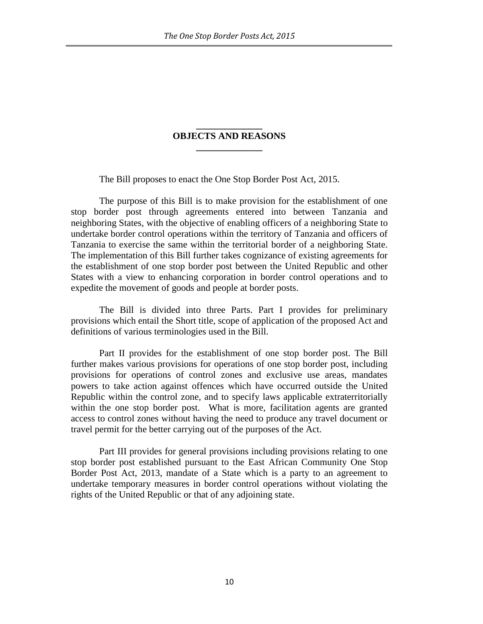# **\_\_\_\_\_\_\_\_\_\_\_\_\_\_ OBJECTS AND REASONS \_\_\_\_\_\_\_\_\_\_\_\_\_\_**

The Bill proposes to enact the One Stop Border Post Act, 2015.

The purpose of this Bill is to make provision for the establishment of one stop border post through agreements entered into between Tanzania and neighboring States, with the objective of enabling officers of a neighboring State to undertake border control operations within the territory of Tanzania and officers of Tanzania to exercise the same within the territorial border of a neighboring State. The implementation of this Bill further takes cognizance of existing agreements for the establishment of one stop border post between the United Republic and other States with a view to enhancing corporation in border control operations and to expedite the movement of goods and people at border posts.

The Bill is divided into three Parts. Part I provides for preliminary provisions which entail the Short title, scope of application of the proposed Act and definitions of various terminologies used in the Bill.

Part II provides for the establishment of one stop border post. The Bill further makes various provisions for operations of one stop border post, including provisions for operations of control zones and exclusive use areas, mandates powers to take action against offences which have occurred outside the United Republic within the control zone, and to specify laws applicable extraterritorially within the one stop border post. What is more, facilitation agents are granted access to control zones without having the need to produce any travel document or travel permit for the better carrying out of the purposes of the Act.

Part III provides for general provisions including provisions relating to one stop border post established pursuant to the East African Community One Stop Border Post Act, 2013, mandate of a State which is a party to an agreement to undertake temporary measures in border control operations without violating the rights of the United Republic or that of any adjoining state.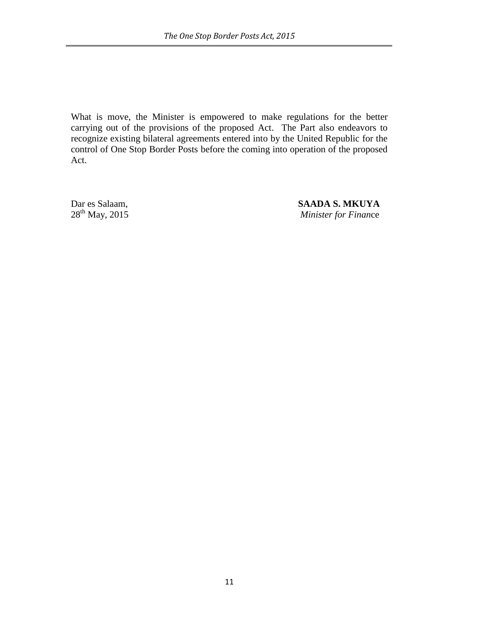What is move, the Minister is empowered to make regulations for the better carrying out of the provisions of the proposed Act. The Part also endeavors to recognize existing bilateral agreements entered into by the United Republic for the control of One Stop Border Posts before the coming into operation of the proposed Act.

Dar es Salaam,<br>
28<sup>th</sup> May, 2015<br>
28<sup>th</sup> May, 2015 *Minister for Finance*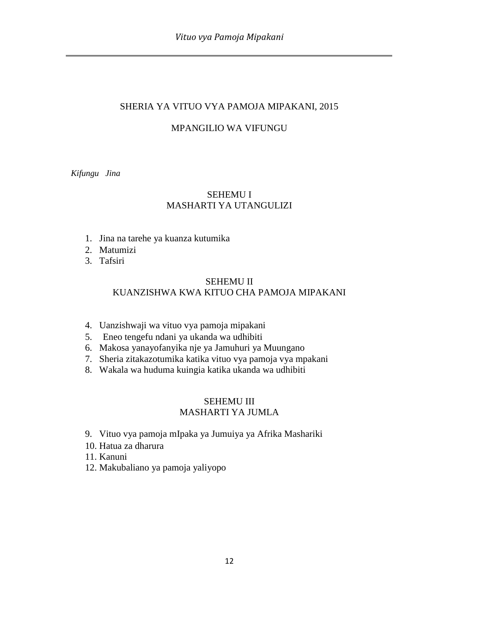# SHERIA YA VITUO VYA PAMOJA MIPAKANI, 2015

# MPANGILIO WA VIFUNGU

*Kifungu Jina*

# SEHEMU I MASHARTI YA UTANGULIZI

- 1. Jina na tarehe ya kuanza kutumika
- 2. Matumizi
- 3. Tafsiri

# SEHEMU II KUANZISHWA KWA KITUO CHA PAMOJA MIPAKANI

- 4. Uanzishwaji wa vituo vya pamoja mipakani
- 5. Eneo tengefu ndani ya ukanda wa udhibiti
- 6. Makosa yanayofanyika nje ya Jamuhuri ya Muungano
- 7. Sheria zitakazotumika katika vituo vya pamoja vya mpakani
- 8. Wakala wa huduma kuingia katika ukanda wa udhibiti

# SEHEMU III MASHARTI YA JUMLA

- 9. Vituo vya pamoja mIpaka ya Jumuiya ya Afrika Mashariki
- 10. Hatua za dharura
- 11. Kanuni
- 12. Makubaliano ya pamoja yaliyopo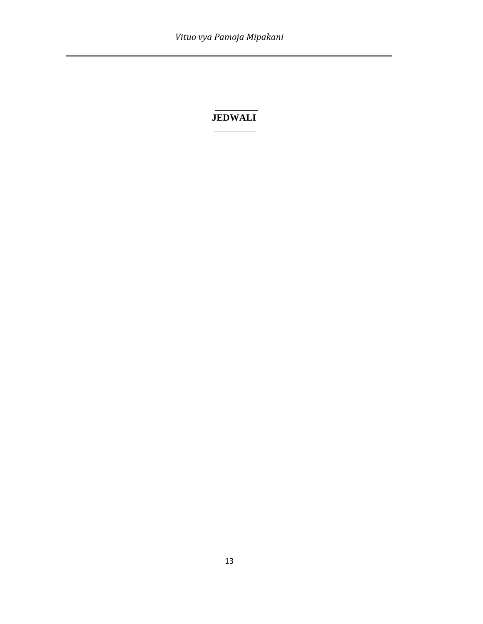i,

# \_\_\_\_\_\_\_\_\_ **JEDWALI**  $\overline{\phantom{a}}$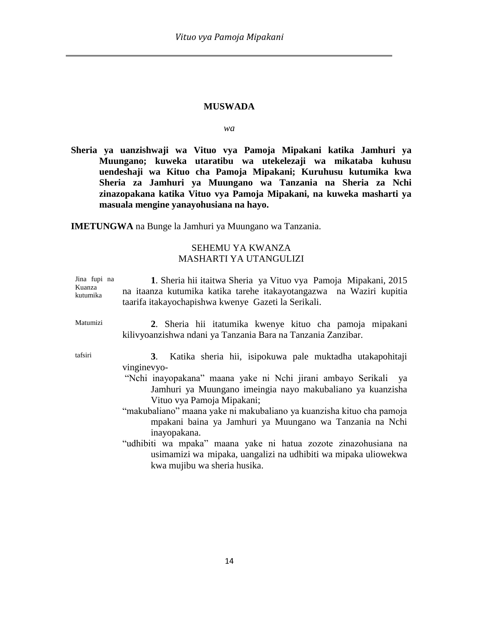#### **MUSWADA**

*wa*

**Sheria ya uanzishwaji wa Vituo vya Pamoja Mipakani katika Jamhuri ya Muungano; kuweka utaratibu wa utekelezaji wa mikataba kuhusu uendeshaji wa Kituo cha Pamoja Mipakani; Kuruhusu kutumika kwa Sheria za Jamhuri ya Muungano wa Tanzania na Sheria za Nchi zinazopakana katika Vituo vya Pamoja Mipakani, na kuweka masharti ya masuala mengine yanayohusiana na hayo.**

**IMETUNGWA** na Bunge la Jamhuri ya Muungano wa Tanzania.

# SEHEMU YA KWANZA MASHARTI YA UTANGULIZI

| Jina fupi na<br>Kuanza<br>kutumika | 1. Sheria hii itaitwa Sheria ya Vituo vya Pamoja Mipakani, 2015<br>na itaanza kutumika katika tarehe itakayotangazwa na Waziri kupitia<br>taarifa itakayochapishwa kwenye Gazeti la Serikali.                                                                                                                                                                                                                                                                                                                                                      |
|------------------------------------|----------------------------------------------------------------------------------------------------------------------------------------------------------------------------------------------------------------------------------------------------------------------------------------------------------------------------------------------------------------------------------------------------------------------------------------------------------------------------------------------------------------------------------------------------|
| Matumizi                           | 2. Sheria hii itatumika kwenye kituo cha pamoja mipakani<br>kilivyoanzishwa ndani ya Tanzania Bara na Tanzania Zanzibar.                                                                                                                                                                                                                                                                                                                                                                                                                           |
| tafsiri                            | Katika sheria hii, isipokuwa pale muktadha utakapohitaji<br>3 <sub>1</sub><br>vinginevyo-<br>"Nchi inayopakana" maana yake ni Nchi jirani ambayo Serikali ya<br>Jamhuri ya Muungano imeingia nayo makubaliano ya kuanzisha<br>Vituo vya Pamoja Mipakani;<br>"makubaliano" maana yake ni makubaliano ya kuanzisha kituo cha pamoja<br>mpakani baina ya Jamhuri ya Muungano wa Tanzania na Nchi<br>inayopakana.<br>"udhibiti wa mpaka" maana yake ni hatua zozote zinazohusiana na<br>usimamizi wa mipaka, uangalizi na udhibiti wa mipaka uliowekwa |
|                                    | kwa mujibu wa sheria husika.                                                                                                                                                                                                                                                                                                                                                                                                                                                                                                                       |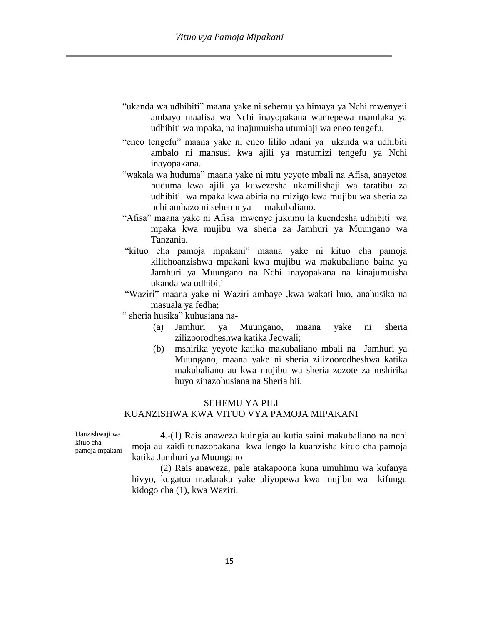- "ukanda wa udhibiti" maana yake ni sehemu ya himaya ya Nchi mwenyeji ambayo maafisa wa Nchi inayopakana wamepewa mamlaka ya udhibiti wa mpaka, na inajumuisha utumiaji wa eneo tengefu.
- "eneo tengefu" maana yake ni eneo lililo ndani ya ukanda wa udhibiti ambalo ni mahsusi kwa ajili ya matumizi tengefu ya Nchi inayopakana.
- "wakala wa huduma" maana yake ni mtu yeyote mbali na Afisa, anayetoa huduma kwa ajili ya kuwezesha ukamilishaji wa taratibu za udhibiti wa mpaka kwa abiria na mizigo kwa mujibu wa sheria za nchi ambazo ni sehemu ya makubaliano.
- "Afisa" maana yake ni Afisa mwenye jukumu la kuendesha udhibiti wa mpaka kwa mujibu wa sheria za Jamhuri ya Muungano wa Tanzania.
- "kituo cha pamoja mpakani" maana yake ni kituo cha pamoja kilichoanzishwa mpakani kwa mujibu wa makubaliano baina ya Jamhuri ya Muungano na Nchi inayopakana na kinajumuisha ukanda wa udhibiti
- "Waziri" maana yake ni Waziri ambaye ,kwa wakati huo, anahusika na masuala ya fedha;
- " sheria husika" kuhusiana na-
	- (a) Jamhuri ya Muungano, maana yake ni sheria zilizoorodheshwa katika Jedwali;
	- (b) mshirika yeyote katika makubaliano mbali na Jamhuri ya Muungano, maana yake ni sheria zilizoorodheshwa katika makubaliano au kwa mujibu wa sheria zozote za mshirika huyo zinazohusiana na Sheria hii.

## SEHEMU YA PILI

### KUANZISHWA KWA VITUO VYA PAMOJA MIPAKANI

Uanzishwaji wa kituo cha pamoja mpakani

**4**.-(1) Rais anaweza kuingia au kutia saini makubaliano na nchi moja au zaidi tunazopakana kwa lengo la kuanzisha kituo cha pamoja katika Jamhuri ya Muungano

(2) Rais anaweza, pale atakapoona kuna umuhimu wa kufanya hivyo, kugatua madaraka yake aliyopewa kwa mujibu wa kifungu kidogo cha (1), kwa Waziri.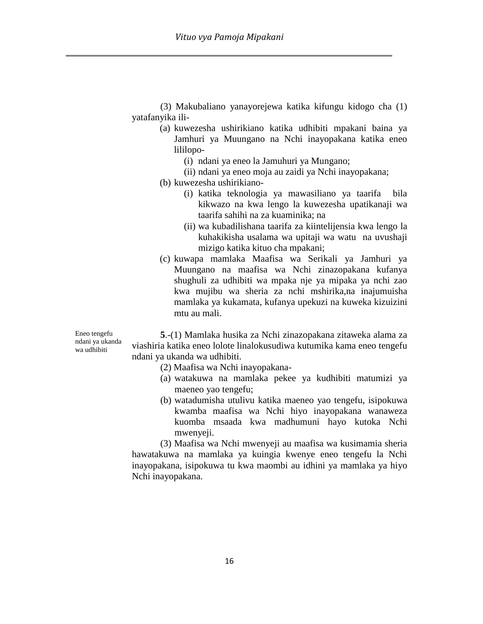(3) Makubaliano yanayorejewa katika kifungu kidogo cha (1) yatafanyika ili-

- (a) kuwezesha ushirikiano katika udhibiti mpakani baina ya Jamhuri ya Muungano na Nchi inayopakana katika eneo lililopo-
	- (i) ndani ya eneo la Jamuhuri ya Mungano;
	- (ii) ndani ya eneo moja au zaidi ya Nchi inayopakana;

(b) kuwezesha ushirikiano-

- (i) katika teknologia ya mawasiliano ya taarifa bila kikwazo na kwa lengo la kuwezesha upatikanaji wa taarifa sahihi na za kuaminika; na
- (ii) wa kubadilishana taarifa za kiintelijensia kwa lengo la kuhakikisha usalama wa upitaji wa watu na uvushaji mizigo katika kituo cha mpakani;
- (c) kuwapa mamlaka Maafisa wa Serikali ya Jamhuri ya Muungano na maafisa wa Nchi zinazopakana kufanya shughuli za udhibiti wa mpaka nje ya mipaka ya nchi zao kwa mujibu wa sheria za nchi mshirika,na inajumuisha mamlaka ya kukamata, kufanya upekuzi na kuweka kizuizini mtu au mali.

Eneo tengefu ndani ya ukanda wa udhibiti

**5**.-(1) Mamlaka husika za Nchi zinazopakana zitaweka alama za viashiria katika eneo lolote linalokusudiwa kutumika kama eneo tengefu ndani ya ukanda wa udhibiti.

(2) Maafisa wa Nchi inayopakana-

- (a) watakuwa na mamlaka pekee ya kudhibiti matumizi ya maeneo yao tengefu;
- (b) watadumisha utulivu katika maeneo yao tengefu, isipokuwa kwamba maafisa wa Nchi hiyo inayopakana wanaweza kuomba msaada kwa madhumuni hayo kutoka Nchi mwenyeji.

(3) Maafisa wa Nchi mwenyeji au maafisa wa kusimamia sheria hawatakuwa na mamlaka ya kuingia kwenye eneo tengefu la Nchi inayopakana, isipokuwa tu kwa maombi au idhini ya mamlaka ya hiyo Nchi inayopakana.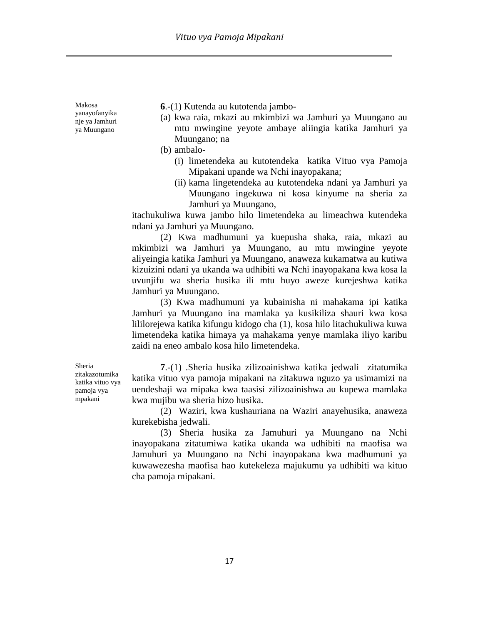Makosa yanayofanyika nje ya Jamhuri ya Muungano

**6**.-(1) Kutenda au kutotenda jambo-

- (a) kwa raia, mkazi au mkimbizi wa Jamhuri ya Muungano au mtu mwingine yeyote ambaye aliingia katika Jamhuri ya Muungano; na
- (b) ambalo-
	- (i) limetendeka au kutotendeka katika Vituo vya Pamoja Mipakani upande wa Nchi inayopakana;
	- (ii) kama lingetendeka au kutotendeka ndani ya Jamhuri ya Muungano ingekuwa ni kosa kinyume na sheria za Jamhuri ya Muungano,

itachukuliwa kuwa jambo hilo limetendeka au limeachwa kutendeka ndani ya Jamhuri ya Muungano.

(2) Kwa madhumuni ya kuepusha shaka, raia, mkazi au mkimbizi wa Jamhuri ya Muungano, au mtu mwingine yeyote aliyeingia katika Jamhuri ya Muungano, anaweza kukamatwa au kutiwa kizuizini ndani ya ukanda wa udhibiti wa Nchi inayopakana kwa kosa la uvunjifu wa sheria husika ili mtu huyo aweze kurejeshwa katika Jamhuri ya Muungano.

(3) Kwa madhumuni ya kubainisha ni mahakama ipi katika Jamhuri ya Muungano ina mamlaka ya kusikiliza shauri kwa kosa lililorejewa katika kifungu kidogo cha (1), kosa hilo litachukuliwa kuwa limetendeka katika himaya ya mahakama yenye mamlaka iliyo karibu zaidi na eneo ambalo kosa hilo limetendeka.

**7**.-(1) .Sheria husika zilizoainishwa katika jedwali zitatumika katika vituo vya pamoja mipakani na zitakuwa nguzo ya usimamizi na uendeshaji wa mipaka kwa taasisi zilizoainishwa au kupewa mamlaka kwa mujibu wa sheria hizo husika.

(2) Waziri, kwa kushauriana na Waziri anayehusika, anaweza kurekebisha jedwali.

(3) Sheria husika za Jamuhuri ya Muungano na Nchi inayopakana zitatumiwa katika ukanda wa udhibiti na maofisa wa Jamuhuri ya Muungano na Nchi inayopakana kwa madhumuni ya kuwawezesha maofisa hao kutekeleza majukumu ya udhibiti wa kituo cha pamoja mipakani.

Sheria zitakazotumika katika vituo vya pamoja vya mpakani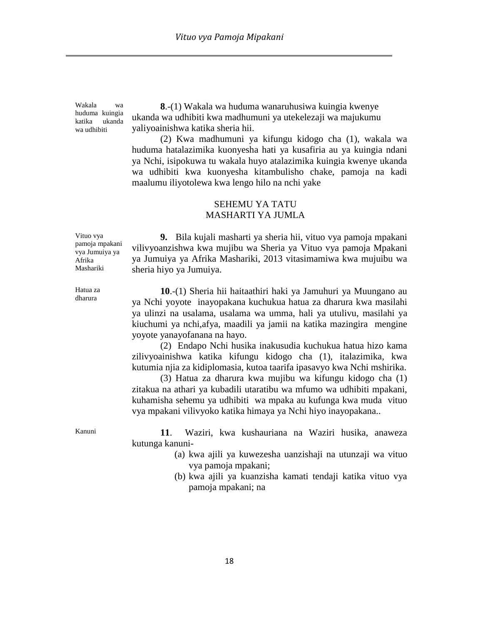Wakala wa huduma kuingia katika ukanda wa udhibiti

**8**.-(1) Wakala wa huduma wanaruhusiwa kuingia kwenye ukanda wa udhibiti kwa madhumuni ya utekelezaji wa majukumu yaliyoainishwa katika sheria hii.

(2) Kwa madhumuni ya kifungu kidogo cha (1), wakala wa huduma hatalazimika kuonyesha hati ya kusafiria au ya kuingia ndani ya Nchi, isipokuwa tu wakala huyo atalazimika kuingia kwenye ukanda wa udhibiti kwa kuonyesha kitambulisho chake, pamoja na kadi maalumu iliyotolewa kwa lengo hilo na nchi yake

# SEHEMU YA TATU MASHARTI YA JUMLA

Vituo vya pamoja mpakani vya Jumuiya ya Afrika Mashariki

**9.** Bila kujali masharti ya sheria hii, vituo vya pamoja mpakani vilivyoanzishwa kwa mujibu wa Sheria ya Vituo vya pamoja Mpakani ya Jumuiya ya Afrika Mashariki, 2013 vitasimamiwa kwa mujuibu wa sheria hiyo ya Jumuiya.

Hatua za dharura

**10**.-(1) Sheria hii haitaathiri haki ya Jamuhuri ya Muungano au ya Nchi yoyote inayopakana kuchukua hatua za dharura kwa masilahi ya ulinzi na usalama, usalama wa umma, hali ya utulivu, masilahi ya kiuchumi ya nchi,afya, maadili ya jamii na katika mazingira mengine yoyote yanayofanana na hayo.

(2) Endapo Nchi husika inakusudia kuchukua hatua hizo kama zilivyoainishwa katika kifungu kidogo cha (1), italazimika, kwa kutumia njia za kidiplomasia, kutoa taarifa ipasavyo kwa Nchi mshirika.

(3) Hatua za dharura kwa mujibu wa kifungu kidogo cha (1) zitakua na athari ya kubadili utaratibu wa mfumo wa udhibiti mpakani, kuhamisha sehemu ya udhibiti wa mpaka au kufunga kwa muda vituo vya mpakani vilivyoko katika himaya ya Nchi hiyo inayopakana..

Kanuni **11**. Waziri, kwa kushauriana na Waziri husika, anaweza kutunga kanuni-

- (a) kwa ajili ya kuwezesha uanzishaji na utunzaji wa vituo vya pamoja mpakani;
- (b) kwa ajili ya kuanzisha kamati tendaji katika vituo vya pamoja mpakani; na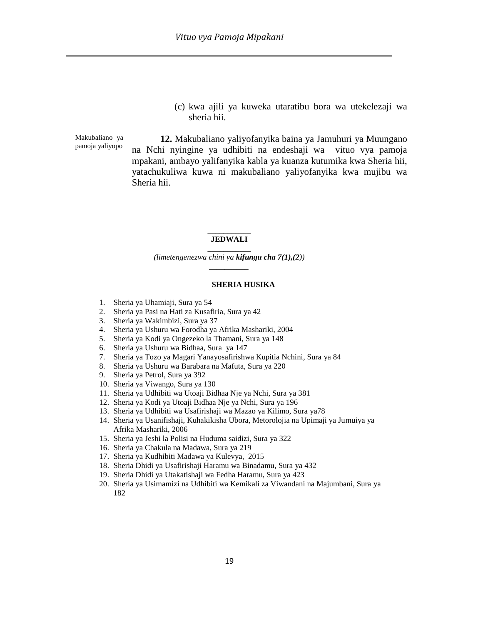(c) kwa ajili ya kuweka utaratibu bora wa utekelezaji wa sheria hii.

Makubaliano ya pamoja yaliyopo

**12.** Makubaliano yaliyofanyika baina ya Jamuhuri ya Muungano na Nchi nyingine ya udhibiti na endeshaji wa vituo vya pamoja mpakani, ambayo yalifanyika kabla ya kuanza kutumika kwa Sheria hii, yatachukuliwa kuwa ni makubaliano yaliyofanyika kwa mujibu wa Sheria hii.

#### $\overline{\phantom{a}}$ **JEDWALI \_\_\_\_\_\_\_\_\_\_\_**

*(limetengenezwa chini ya kifungu cha 7(1),(2)) \_\_\_\_\_\_\_\_\_\_*

#### **SHERIA HUSIKA**

- 1. Sheria ya Uhamiaji, Sura ya 54
- 2. Sheria ya Pasi na Hati za Kusafiria, Sura ya 42
- 3. Sheria ya Wakimbizi, Sura ya 37
- 4. Sheria ya Ushuru wa Forodha ya Afrika Mashariki, 2004
- 5. Sheria ya Kodi ya Ongezeko la Thamani, Sura ya 148
- 6. Sheria ya Ushuru wa Bidhaa, Sura ya 147
- 7. Sheria ya Tozo ya Magari Yanayosafirishwa Kupitia Nchini, Sura ya 84
- 8. Sheria ya Ushuru wa Barabara na Mafuta, Sura ya 220
- 9. Sheria ya Petrol, Sura ya 392
- 10. Sheria ya Viwango, Sura ya 130
- 11. Sheria ya Udhibiti wa Utoaji Bidhaa Nje ya Nchi, Sura ya 381
- 12. Sheria ya Kodi ya Utoaji Bidhaa Nje ya Nchi, Sura ya 196
- 13. Sheria ya Udhibiti wa Usafirishaji wa Mazao ya Kilimo, Sura ya78
- 14. Sheria ya Usanifishaji, Kuhakikisha Ubora, Metorolojia na Upimaji ya Jumuiya ya Afrika Mashariki, 2006
- 15. Sheria ya Jeshi la Polisi na Huduma saidizi, Sura ya 322
- 16. Sheria ya Chakula na Madawa, Sura ya 219
- 17. Sheria ya Kudhibiti Madawa ya Kulevya, 2015
- 18. Sheria Dhidi ya Usafirishaji Haramu wa Binadamu, Sura ya 432
- 19. Sheria Dhidi ya Utakatishaji wa Fedha Haramu, Sura ya 423
- 20. Sheria ya Usimamizi na Udhibiti wa Kemikali za Viwandani na Majumbani, Sura ya 182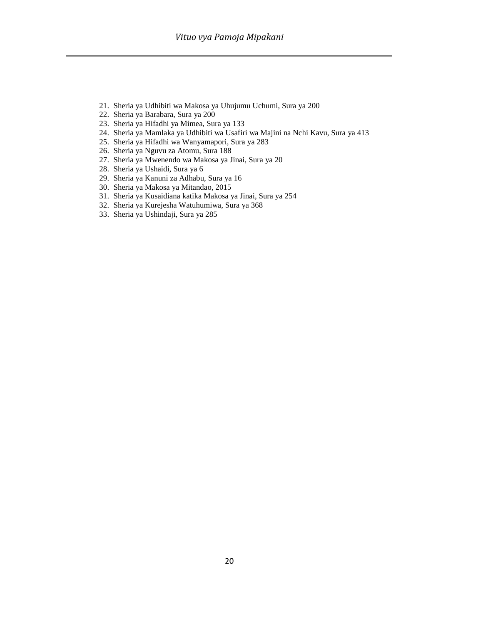- 21. Sheria ya Udhibiti wa Makosa ya Uhujumu Uchumi, Sura ya 200
- 22. Sheria ya Barabara, Sura ya 200
- 23. Sheria ya Hifadhi ya Mimea, Sura ya 133
- 24. Sheria ya Mamlaka ya Udhibiti wa Usafiri wa Majini na Nchi Kavu, Sura ya 413
- 25. Sheria ya Hifadhi wa Wanyamapori, Sura ya 283
- 26. Sheria ya Nguvu za Atomu, Sura 188
- 27. Sheria ya Mwenendo wa Makosa ya Jinai, Sura ya 20
- 28. Sheria ya Ushaidi, Sura ya 6
- 29. Sheria ya Kanuni za Adhabu, Sura ya 16
- 30. Sheria ya Makosa ya Mitandao, 2015
- 31. Sheria ya Kusaidiana katika Makosa ya Jinai, Sura ya 254
- 32. Sheria ya Kurejesha Watuhumiwa, Sura ya 368
- 33. Sheria ya Ushindaji, Sura ya 285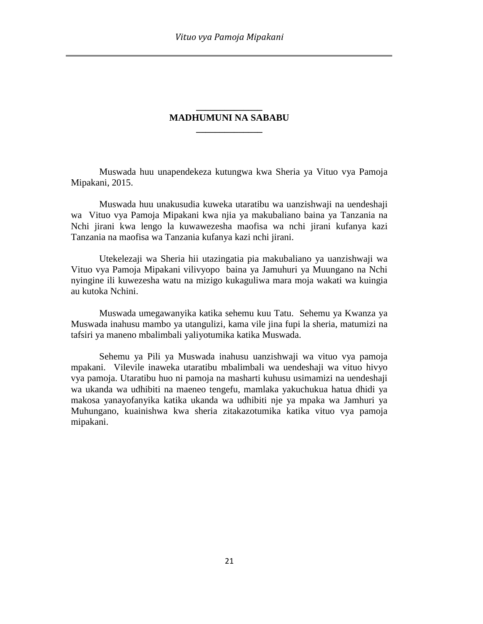# **\_\_\_\_\_\_\_\_\_\_\_\_\_\_ MADHUMUNI NA SABABU \_\_\_\_\_\_\_\_\_\_\_\_\_\_**

Muswada huu unapendekeza kutungwa kwa Sheria ya Vituo vya Pamoja Mipakani, 2015.

Muswada huu unakusudia kuweka utaratibu wa uanzishwaji na uendeshaji wa Vituo vya Pamoja Mipakani kwa njia ya makubaliano baina ya Tanzania na Nchi jirani kwa lengo la kuwawezesha maofisa wa nchi jirani kufanya kazi Tanzania na maofisa wa Tanzania kufanya kazi nchi jirani.

Utekelezaji wa Sheria hii utazingatia pia makubaliano ya uanzishwaji wa Vituo vya Pamoja Mipakani vilivyopo baina ya Jamuhuri ya Muungano na Nchi nyingine ili kuwezesha watu na mizigo kukaguliwa mara moja wakati wa kuingia au kutoka Nchini.

Muswada umegawanyika katika sehemu kuu Tatu. Sehemu ya Kwanza ya Muswada inahusu mambo ya utangulizi, kama vile jina fupi la sheria, matumizi na tafsiri ya maneno mbalimbali yaliyotumika katika Muswada.

Sehemu ya Pili ya Muswada inahusu uanzishwaji wa vituo vya pamoja mpakani. Vilevile inaweka utaratibu mbalimbali wa uendeshaji wa vituo hivyo vya pamoja. Utaratibu huo ni pamoja na masharti kuhusu usimamizi na uendeshaji wa ukanda wa udhibiti na maeneo tengefu, mamlaka yakuchukua hatua dhidi ya makosa yanayofanyika katika ukanda wa udhibiti nje ya mpaka wa Jamhuri ya Muhungano, kuainishwa kwa sheria zitakazotumika katika vituo vya pamoja mipakani.